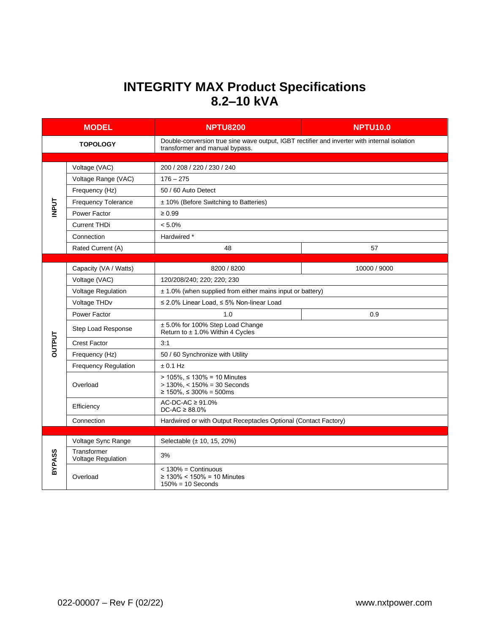## **INTEGRITY MAX Product Specifications 8.2–10 kVA**

| <b>MODEL</b>    |                                   | <b>NPTU8200</b>                                                                                                                | <b>NPTU10.0</b> |  |
|-----------------|-----------------------------------|--------------------------------------------------------------------------------------------------------------------------------|-----------------|--|
| <b>TOPOLOGY</b> |                                   | Double-conversion true sine wave output, IGBT rectifier and inverter with internal isolation<br>transformer and manual bypass. |                 |  |
|                 |                                   |                                                                                                                                |                 |  |
| <b>INPUT</b>    | Voltage (VAC)                     | 200 / 208 / 220 / 230 / 240                                                                                                    |                 |  |
|                 | Voltage Range (VAC)               | $176 - 275$                                                                                                                    |                 |  |
|                 | Frequency (Hz)                    | 50 / 60 Auto Detect                                                                                                            |                 |  |
|                 | <b>Frequency Tolerance</b>        | ± 10% (Before Switching to Batteries)                                                                                          |                 |  |
|                 | Power Factor                      | $\geq 0.99$                                                                                                                    |                 |  |
|                 | <b>Current THDi</b>               | $< 5.0\%$                                                                                                                      |                 |  |
|                 | Connection                        | Hardwired *                                                                                                                    |                 |  |
|                 | Rated Current (A)                 | 48                                                                                                                             | 57              |  |
|                 |                                   |                                                                                                                                |                 |  |
|                 | Capacity (VA / Watts)             | 8200 / 8200                                                                                                                    | 10000 / 9000    |  |
|                 | Voltage (VAC)                     | 120/208/240; 220; 220; 230                                                                                                     |                 |  |
|                 | Voltage Regulation                | $\pm$ 1.0% (when supplied from either mains input or battery)                                                                  |                 |  |
|                 | Voltage THD <sub>v</sub>          | ≤ 2.0% Linear Load, ≤ 5% Non-linear Load                                                                                       |                 |  |
| <b>DUTPUT</b>   | Power Factor                      | 1.0                                                                                                                            | 0.9             |  |
|                 | Step Load Response                | ± 5.0% for 100% Step Load Change<br>Return to ± 1.0% Within 4 Cycles                                                           |                 |  |
|                 | <b>Crest Factor</b>               | 3:1                                                                                                                            |                 |  |
|                 | Frequency (Hz)                    | 50 / 60 Synchronize with Utility                                                                                               |                 |  |
|                 | <b>Frequency Regulation</b>       | $± 0.1$ Hz                                                                                                                     |                 |  |
|                 | Overload                          | > $105\%$ , ≤ 130% = 10 Minutes<br>$> 130\%$ , < $150\% = 30$ Seconds<br>$≥ 150\%$ , ≤ 300% = 500ms                            |                 |  |
|                 | Efficiency                        | AC-DC-AC $\geq 91.0\%$<br>$DC-AC \geq 88.0\%$                                                                                  |                 |  |
|                 | Connection                        | Hardwired or with Output Receptacles Optional (Contact Factory)                                                                |                 |  |
|                 |                                   |                                                                                                                                |                 |  |
| <b>BYPASS</b>   | Voltage Sync Range                | Selectable (± 10, 15, 20%)                                                                                                     |                 |  |
|                 | Transformer<br>Voltage Regulation | 3%                                                                                                                             |                 |  |
|                 | Overload                          | $<$ 130% = Continuous<br>≥ 130% < 150% = 10 Minutes<br>$150\% = 10$ Seconds                                                    |                 |  |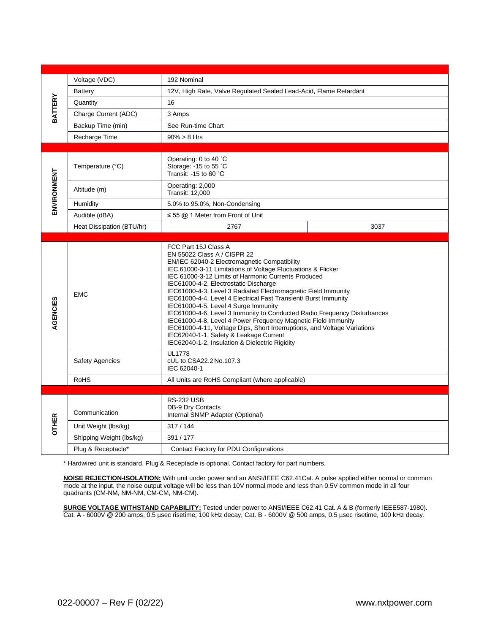| <b>BATTERY</b> | Voltage (VDC)             | 192 Nominal                                                                                                                                                                                                                                                                                                                                                                                                                                                                                                                                                                                                                                                                                                                                                          |      |  |
|----------------|---------------------------|----------------------------------------------------------------------------------------------------------------------------------------------------------------------------------------------------------------------------------------------------------------------------------------------------------------------------------------------------------------------------------------------------------------------------------------------------------------------------------------------------------------------------------------------------------------------------------------------------------------------------------------------------------------------------------------------------------------------------------------------------------------------|------|--|
|                | <b>Battery</b>            | 12V, High Rate, Valve Regulated Sealed Lead-Acid, Flame Retardant                                                                                                                                                                                                                                                                                                                                                                                                                                                                                                                                                                                                                                                                                                    |      |  |
|                | Quantity                  | 16                                                                                                                                                                                                                                                                                                                                                                                                                                                                                                                                                                                                                                                                                                                                                                   |      |  |
|                | Charge Current (ADC)      | 3 Amps                                                                                                                                                                                                                                                                                                                                                                                                                                                                                                                                                                                                                                                                                                                                                               |      |  |
|                | Backup Time (min)         | See Run-time Chart                                                                                                                                                                                                                                                                                                                                                                                                                                                                                                                                                                                                                                                                                                                                                   |      |  |
|                | Recharge Time             | $90\% > 8$ Hrs                                                                                                                                                                                                                                                                                                                                                                                                                                                                                                                                                                                                                                                                                                                                                       |      |  |
|                |                           |                                                                                                                                                                                                                                                                                                                                                                                                                                                                                                                                                                                                                                                                                                                                                                      |      |  |
| ENVIRONMENT    | Temperature (°C)          | Operating: 0 to 40 °C<br>Storage: - 15 to 55 °C<br>Transit: -15 to 60 °C                                                                                                                                                                                                                                                                                                                                                                                                                                                                                                                                                                                                                                                                                             |      |  |
|                | Altitude (m)              | Operating: 2,000<br><b>Transit: 12,000</b>                                                                                                                                                                                                                                                                                                                                                                                                                                                                                                                                                                                                                                                                                                                           |      |  |
|                | Humidity                  | 5.0% to 95.0%, Non-Condensing                                                                                                                                                                                                                                                                                                                                                                                                                                                                                                                                                                                                                                                                                                                                        |      |  |
|                | Audible (dBA)             | $\leq$ 55 @ 1 Meter from Front of Unit                                                                                                                                                                                                                                                                                                                                                                                                                                                                                                                                                                                                                                                                                                                               |      |  |
|                | Heat Dissipation (BTU/hr) | 2767                                                                                                                                                                                                                                                                                                                                                                                                                                                                                                                                                                                                                                                                                                                                                                 | 3037 |  |
|                |                           |                                                                                                                                                                                                                                                                                                                                                                                                                                                                                                                                                                                                                                                                                                                                                                      |      |  |
| AGENCIES       | <b>EMC</b>                | FCC Part 15J Class A<br>EN 55022 Class A / CISPR 22<br>EN/IEC 62040-2 Electromagnetic Compatibility<br>IEC 61000-3-11 Limitations of Voltage Fluctuations & Flicker<br>IEC 61000-3-12 Limits of Harmonic Currents Produced<br>IEC61000-4-2, Electrostatic Discharge<br>IEC61000-4-3, Level 3 Radiated Electromagnetic Field Immunity<br>IEC61000-4-4, Level 4 Electrical Fast Transient/ Burst Immunity<br>IEC61000-4-5, Level 4 Surge Immunity<br>IEC61000-4-6, Level 3 Immunity to Conducted Radio Frequency Disturbances<br>IEC61000-4-8, Level 4 Power Frequency Magnetic Field Immunity<br>IEC61000-4-11, Voltage Dips, Short Interruptions, and Voltage Variations<br>IEC62040-1-1, Safety & Leakage Current<br>IEC62040-1-2, Insulation & Dielectric Rigidity |      |  |
|                | <b>Safety Agencies</b>    | <b>UL1778</b><br>cUL to CSA22.2 No.107.3<br>IEC 62040-1                                                                                                                                                                                                                                                                                                                                                                                                                                                                                                                                                                                                                                                                                                              |      |  |
|                | <b>RoHS</b>               | All Units are RoHS Compliant (where applicable)                                                                                                                                                                                                                                                                                                                                                                                                                                                                                                                                                                                                                                                                                                                      |      |  |
|                |                           |                                                                                                                                                                                                                                                                                                                                                                                                                                                                                                                                                                                                                                                                                                                                                                      |      |  |
| <b>OTHER</b>   | Communication             | <b>RS-232 USB</b><br><b>DB-9 Dry Contacts</b><br>Internal SNMP Adapter (Optional)                                                                                                                                                                                                                                                                                                                                                                                                                                                                                                                                                                                                                                                                                    |      |  |
|                | Unit Weight (lbs/kg)      | 317/144                                                                                                                                                                                                                                                                                                                                                                                                                                                                                                                                                                                                                                                                                                                                                              |      |  |
|                | Shipping Weight (lbs/kg)  | 391 / 177                                                                                                                                                                                                                                                                                                                                                                                                                                                                                                                                                                                                                                                                                                                                                            |      |  |
|                | Plug & Receptacle*        | Contact Factory for PDU Configurations                                                                                                                                                                                                                                                                                                                                                                                                                                                                                                                                                                                                                                                                                                                               |      |  |

\* Hardwired unit is standard. Plug & Receptacle is optional. Contact factory for part numbers.

**NOISE REJECTION-ISOLATION:** With unit under power and an ANSI/IEEE C62.41Cat. A pulse applied either normal or common mode at the input, the noise output voltage will be less than 10V normal mode and less than 0.5V common mode in all four quadrants (CM-NM, NM-NM, CM-CM, NM-CM).

**SURGE VOLTAGE WITHSTAND CAPABILITY:** Tested under power to ANSI/IEEE C62.41 Cat. A & B (formerly IEEE587-1980). Cat. A - 6000V @ 200 amps, 0.5 µsec risetime, 100 kHz decay, Cat. B - 6000V @ 500 amps, 0.5 µsec risetime, 100 kHz decay.